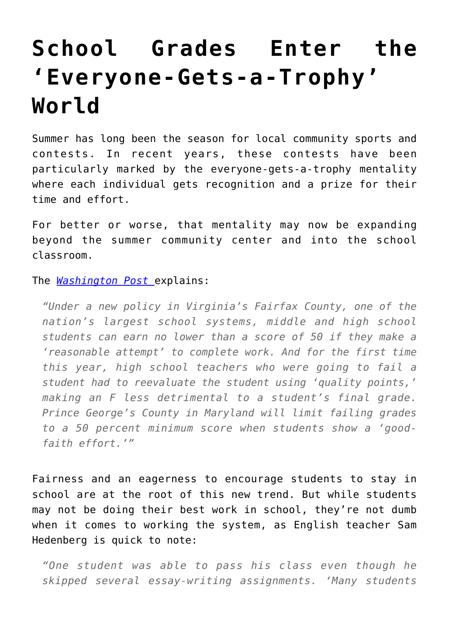## **[School Grades Enter the](https://intellectualtakeout.org/2016/07/school-grades-enter-the-everyone-gets-a-trophy-world/) ['Everyone-Gets-a-Trophy'](https://intellectualtakeout.org/2016/07/school-grades-enter-the-everyone-gets-a-trophy-world/) [World](https://intellectualtakeout.org/2016/07/school-grades-enter-the-everyone-gets-a-trophy-world/)**

Summer has long been the season for local community sports and contests. In recent years, these contests have been particularly marked by the everyone-gets-a-trophy mentality where each individual gets recognition and a prize for their time and effort.

For better or worse, that mentality may now be expanding beyond the summer community center and into the school classroom.

## The *[Washington Post](https://www.washingtonpost.com/local/education/is-it-becoming-too-hard-to-fail-schools-are-shifting-toward-no-zero-grading-policies/2016/07/05/3c464f5e-3cb0-11e6-80bc-d06711fd2125_story.html)* explains:

*"Under a new policy in Virginia's Fairfax County, one of the nation's largest school systems, middle and high school students can earn no lower than a score of 50 if they make a 'reasonable attempt' to complete work. And for the first time this year, high school teachers who were going to fail a student had to reevaluate the student using 'quality points,' making an F less detrimental to a student's final grade. Prince George's County in Maryland will limit failing grades to a 50 percent minimum score when students show a 'goodfaith effort.'"*

Fairness and an eagerness to encourage students to stay in school are at the root of this new trend. But while students may not be doing their best work in school, they're not dumb when it comes to working the system, as English teacher Sam Hedenberg is quick to note:

*"One student was able to pass his class even though he skipped several essay-writing assignments. 'Many students*